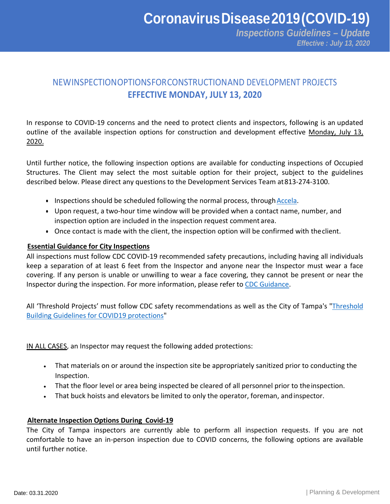*Threshold Building Construction Site Procedures Effective : July 13, 2020 Inspections Guidelines – Update*

# NEWINSPECTIONOPTIONSFORCONSTRUCTIONAND DEVELOPMENT PROJECTS **EFFECTIVE MONDAY, JULY 13, 2020**

In response to COVID-19 concerns and the need to protect clients and inspectors, following is an updated outline of the available inspection options for construction and development effective Monday, July 13, 2020.

Until further notice, the following inspection options are available for conducting inspections of Occupied Structures. The Client may select the most suitable option for their project, subject to the guidelines described below. Please direct any questions to the Development Services Team at813-274-3100.

- Inspections should be scheduled following the normal process, through Accela.
- Upon request, a two-hour time window will be provided when a contact name, number, and inspection option are included in the inspection request comment area.
- Once contact is made with the client, the inspection option will be confirmed with theclient.

### **Essential Guidance for City Inspections**

All inspections must follow CDC COVID-19 recommended safety precautions, including having all individuals keep a separation of at least 6 feet from the Inspector and anyone near the Inspector must wear a face covering. If any person is unable or unwilling to wear a face covering, they cannot be present or near the Inspector during the inspection. For more information, please refer t[o CDC Guidance.](https://www.cdc.gov/coronavirus/2019-ncov/index.html)

All 'Threshold Projects' must follow CDC safety recommendations as well as the City of Tampa's ["Threshold](https://www.tampagov.net/planning-and-development/inspection-options)  [Building Guidelines for COVID19 protections"](https://www.tampagov.net/planning-and-development/inspection-options)

IN ALL CASES, an Inspector may request the following added protections:

- That materials on or around the inspection site be appropriately sanitized prior to conducting the Inspection.
- That the floor level or area being inspected be cleared of all personnel prior to theinspection.
- That buck hoists and elevators be limited to only the operator, foreman, andinspector.

#### **Alternate Inspection Options During Covid-19**

The City of Tampa inspectors are currently able to perform all inspection requests. If you are not comfortable to have an in-person inspection due to COVID concerns, the following options are available until further notice.